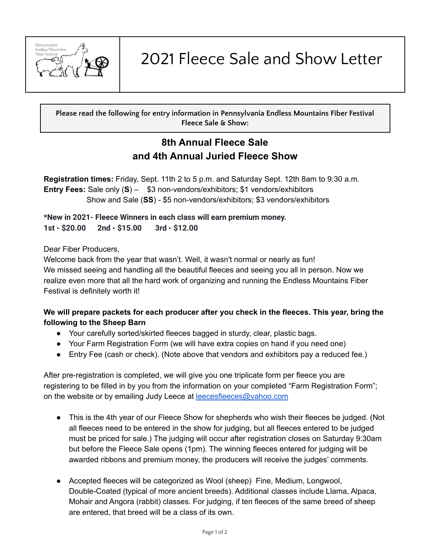

2021 Fleece Sale and Show Letter

**Please read the following for entry information in Pennsylvania Endless Mountains Fiber Festival Fleece Sale & Show:**

# **8th Annual Fleece Sale and 4th Annual Juried Fleece Show**

**Registration times:** Friday, Sept. 11th 2 to 5 p.m. and Saturday Sept. 12th 8am to 9:30 a.m. **Entry Fees:** Sale only (**S**) – \$3 non-vendors/exhibitors; \$1 vendors/exhibitors Show and Sale (**SS**) - \$5 non-vendors/exhibitors; \$3 vendors/exhibitors

**\*New in 2021- Fleece Winners in each class will earn premium money. 1st - \$20.00 2nd - \$15.00 3rd - \$12.00**

Dear Fiber Producers,

Welcome back from the year that wasn't. Well, it wasn't normal or nearly as fun! We missed seeing and handling all the beautiful fleeces and seeing you all in person. Now we realize even more that all the hard work of organizing and running the Endless Mountains Fiber Festival is definitely worth it!

## **We will prepare packets for each producer after you check in the fleeces. This year, bring the following to the Sheep Barn**

- Your carefully sorted/skirted fleeces bagged in sturdy, clear, plastic bags.
- Your Farm Registration Form (we will have extra copies on hand if you need one)
- Entry Fee (cash or check). (Note above that vendors and exhibitors pay a reduced fee.)

After pre-registration is completed, we will give you one triplicate form per fleece you are registering to be filled in by you from the information on your completed "Farm Registration Form"; on the website or by emailing Judy Leece at **[leecesfleeces@yahoo.com](mailto:leecesfleeces@yahoo.com)** 

- This is the 4th year of our Fleece Show for shepherds who wish their fleeces be judged. (Not all fleeces need to be entered in the show for judging, but all fleeces entered to be judged must be priced for sale.) The judging will occur after registration closes on Saturday 9:30am but before the Fleece Sale opens (1pm). The winning fleeces entered for judging will be awarded ribbons and premium money, the producers will receive the judges' comments.
- Accepted fleeces will be categorized as Wool (sheep) Fine, Medium, Longwool, Double-Coated (typical of more ancient breeds). Additional classes include Llama, Alpaca, Mohair and Angora (rabbit) classes. For judging, if ten fleeces of the same breed of sheep are entered, that breed will be a class of its own.